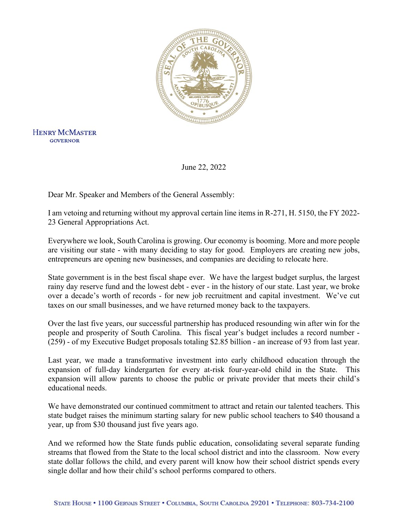

**HENRY MCMASTER GOVERNOR** 

June 22, 2022

Dear Mr. Speaker and Members of the General Assembly:

I am vetoing and returning without my approval certain line items in R-271, H. 5150, the FY 2022- 23 General Appropriations Act.

Everywhere we look, South Carolina is growing. Our economy is booming. More and more people are visiting our state - with many deciding to stay for good. Employers are creating new jobs, entrepreneurs are opening new businesses, and companies are deciding to relocate here.

State government is in the best fiscal shape ever. We have the largest budget surplus, the largest rainy day reserve fund and the lowest debt - ever - in the history of our state. Last year, we broke over a decade's worth of records - for new job recruitment and capital investment. We've cut taxes on our small businesses, and we have returned money back to the taxpayers.

Over the last five years, our successful partnership has produced resounding win after win for the people and prosperity of South Carolina. This fiscal year's budget includes a record number - (259) - of my Executive Budget proposals totaling \$2.85 billion - an increase of 93 from last year.

Last year, we made a transformative investment into early childhood education through the expansion of full-day kindergarten for every at-risk four-year-old child in the State. This expansion will allow parents to choose the public or private provider that meets their child's educational needs.

We have demonstrated our continued commitment to attract and retain our talented teachers. This state budget raises the minimum starting salary for new public school teachers to \$40 thousand a year, up from \$30 thousand just five years ago.

And we reformed how the State funds public education, consolidating several separate funding streams that flowed from the State to the local school district and into the classroom. Now every state dollar follows the child, and every parent will know how their school district spends every single dollar and how their child's school performs compared to others.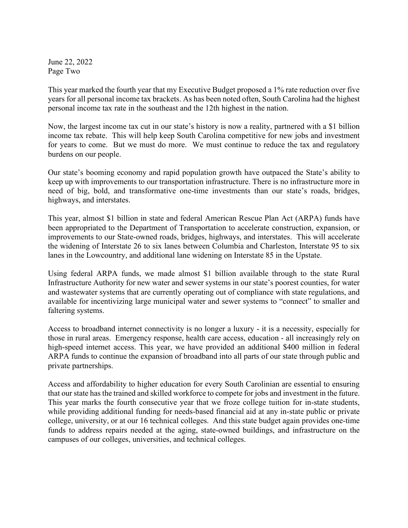June 22, 2022 Page Two

This year marked the fourth year that my Executive Budget proposed a 1% rate reduction over five years for all personal income tax brackets. As has been noted often, South Carolina had the highest personal income tax rate in the southeast and the 12th highest in the nation.

Now, the largest income tax cut in our state's history is now a reality, partnered with a \$1 billion income tax rebate. This will help keep South Carolina competitive for new jobs and investment for years to come. But we must do more. We must continue to reduce the tax and regulatory burdens on our people.

Our state's booming economy and rapid population growth have outpaced the State's ability to keep up with improvements to our transportation infrastructure. There is no infrastructure more in need of big, bold, and transformative one-time investments than our state's roads, bridges, highways, and interstates.

This year, almost \$1 billion in state and federal American Rescue Plan Act (ARPA) funds have been appropriated to the Department of Transportation to accelerate construction, expansion, or improvements to our State-owned roads, bridges, highways, and interstates. This will accelerate the widening of Interstate 26 to six lanes between Columbia and Charleston, Interstate 95 to six lanes in the Lowcountry, and additional lane widening on Interstate 85 in the Upstate.

Using federal ARPA funds, we made almost \$1 billion available through to the state Rural Infrastructure Authority for new water and sewer systems in our state's poorest counties, for water and wastewater systems that are currently operating out of compliance with state regulations, and available for incentivizing large municipal water and sewer systems to "connect" to smaller and faltering systems.

Access to broadband internet connectivity is no longer a luxury - it is a necessity, especially for those in rural areas. Emergency response, health care access, education - all increasingly rely on high-speed internet access. This year, we have provided an additional \$400 million in federal ARPA funds to continue the expansion of broadband into all parts of our state through public and private partnerships.

Access and affordability to higher education for every South Carolinian are essential to ensuring that our state has the trained and skilled workforce to compete for jobs and investment in the future. This year marks the fourth consecutive year that we froze college tuition for in-state students, while providing additional funding for needs-based financial aid at any in-state public or private college, university, or at our 16 technical colleges. And this state budget again provides one-time funds to address repairs needed at the aging, state-owned buildings, and infrastructure on the campuses of our colleges, universities, and technical colleges.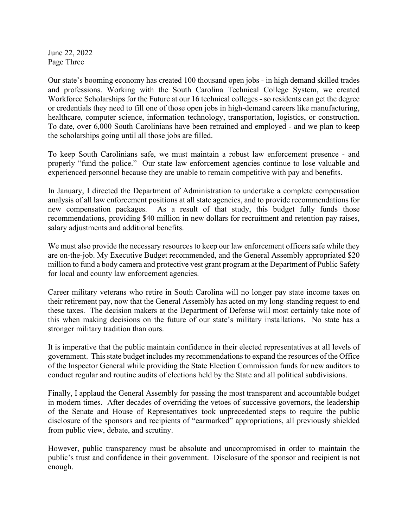June 22, 2022 Page Three

Our state's booming economy has created 100 thousand open jobs - in high demand skilled trades and professions. Working with the South Carolina Technical College System, we created Workforce Scholarships for the Future at our 16 technical colleges - so residents can get the degree or credentials they need to fill one of those open jobs in high-demand careers like manufacturing, healthcare, computer science, information technology, transportation, logistics, or construction. To date, over 6,000 South Carolinians have been retrained and employed - and we plan to keep the scholarships going until all those jobs are filled.

To keep South Carolinians safe, we must maintain a robust law enforcement presence - and properly "fund the police." Our state law enforcement agencies continue to lose valuable and experienced personnel because they are unable to remain competitive with pay and benefits.

In January, I directed the Department of Administration to undertake a complete compensation analysis of all law enforcement positions at all state agencies, and to provide recommendations for new compensation packages. As a result of that study, this budget fully funds those recommendations, providing \$40 million in new dollars for recruitment and retention pay raises, salary adjustments and additional benefits.

We must also provide the necessary resources to keep our law enforcement officers safe while they are on-the-job. My Executive Budget recommended, and the General Assembly appropriated \$20 million to fund a body camera and protective vest grant program at the Department of Public Safety for local and county law enforcement agencies.

Career military veterans who retire in South Carolina will no longer pay state income taxes on their retirement pay, now that the General Assembly has acted on my long-standing request to end these taxes. The decision makers at the Department of Defense will most certainly take note of this when making decisions on the future of our state's military installations. No state has a stronger military tradition than ours.

It is imperative that the public maintain confidence in their elected representatives at all levels of government. This state budget includes my recommendations to expand the resources of the Office of the Inspector General while providing the State Election Commission funds for new auditors to conduct regular and routine audits of elections held by the State and all political subdivisions.

Finally, I applaud the General Assembly for passing the most transparent and accountable budget in modern times. After decades of overriding the vetoes of successive governors, the leadership of the Senate and House of Representatives took unprecedented steps to require the public disclosure of the sponsors and recipients of "earmarked" appropriations, all previously shielded from public view, debate, and scrutiny.

However, public transparency must be absolute and uncompromised in order to maintain the public's trust and confidence in their government. Disclosure of the sponsor and recipient is not enough.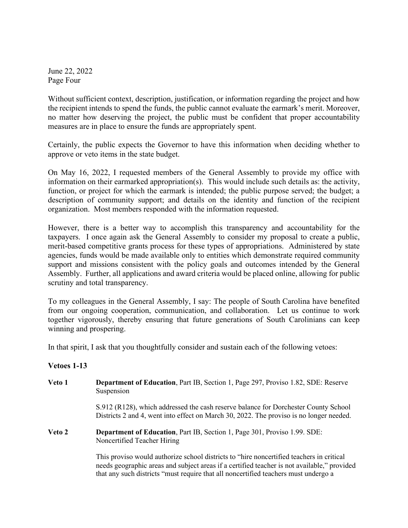June 22, 2022 Page Four

Without sufficient context, description, justification, or information regarding the project and how the recipient intends to spend the funds, the public cannot evaluate the earmark's merit. Moreover, no matter how deserving the project, the public must be confident that proper accountability measures are in place to ensure the funds are appropriately spent.

Certainly, the public expects the Governor to have this information when deciding whether to approve or veto items in the state budget.

On May 16, 2022, I requested members of the General Assembly to provide my office with information on their earmarked appropriation(s). This would include such details as: the activity, function, or project for which the earmark is intended; the public purpose served; the budget; a description of community support; and details on the identity and function of the recipient organization. Most members responded with the information requested.

However, there is a better way to accomplish this transparency and accountability for the taxpayers. I once again ask the General Assembly to consider my proposal to create a public, merit-based competitive grants process for these types of appropriations. Administered by state agencies, funds would be made available only to entities which demonstrate required community support and missions consistent with the policy goals and outcomes intended by the General Assembly. Further, all applications and award criteria would be placed online, allowing for public scrutiny and total transparency.

To my colleagues in the General Assembly, I say: The people of South Carolina have benefited from our ongoing cooperation, communication, and collaboration. Let us continue to work together vigorously, thereby ensuring that future generations of South Carolinians can keep winning and prospering.

In that spirit, I ask that you thoughtfully consider and sustain each of the following vetoes:

## **Vetoes 1-13**

**Veto 1 Department of Education**, Part IB, Section 1, Page 297, Proviso 1.82, SDE: Reserve Suspension

> S.912 (R128), which addressed the cash reserve balance for Dorchester County School Districts 2 and 4, went into effect on March 30, 2022. The proviso is no longer needed.

**Veto 2 Department of Education**, Part IB, Section 1, Page 301, Proviso 1.99. SDE: Noncertified Teacher Hiring

> This proviso would authorize school districts to "hire noncertified teachers in critical needs geographic areas and subject areas if a certified teacher is not available," provided that any such districts "must require that all noncertified teachers must undergo a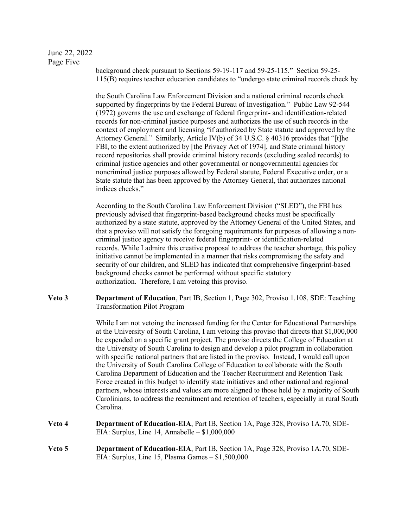## June 22, 2022 Page Five

background check pursuant to Sections 59-19-117 and 59-25-115." Section 59-25- 115(B) requires teacher education candidates to "undergo state criminal records check by

the South Carolina Law Enforcement Division and a national criminal records check supported by fingerprints by the Federal Bureau of Investigation." Public Law 92-544 (1972) governs the use and exchange of federal fingerprint- and identification-related records for non-criminal justice purposes and authorizes the use of such records in the context of employment and licensing "if authorized by State statute and approved by the Attorney General." Similarly, Article IV(b) of 34 U.S.C. § 40316 provides that "[t]he FBI, to the extent authorized by [the Privacy Act of 1974], and State criminal history record repositories shall provide criminal history records (excluding sealed records) to criminal justice agencies and other governmental or nongovernmental agencies for noncriminal justice purposes allowed by Federal statute, Federal Executive order, or a State statute that has been approved by the Attorney General, that authorizes national indices checks."

According to the South Carolina Law Enforcement Division ("SLED"), the FBI has previously advised that fingerprint-based background checks must be specifically authorized by a state statute, approved by the Attorney General of the United States, and that a proviso will not satisfy the foregoing requirements for purposes of allowing a noncriminal justice agency to receive federal fingerprint- or identification-related records. While I admire this creative proposal to address the teacher shortage, this policy initiative cannot be implemented in a manner that risks compromising the safety and security of our children, and SLED has indicated that comprehensive fingerprint-based background checks cannot be performed without specific statutory authorization. Therefore, I am vetoing this proviso.

**Veto 3 Department of Education**, Part IB, Section 1, Page 302, Proviso 1.108, SDE: Teaching Transformation Pilot Program

> While I am not vetoing the increased funding for the Center for Educational Partnerships at the University of South Carolina, I am vetoing this proviso that directs that \$1,000,000 be expended on a specific grant project. The proviso directs the College of Education at the University of South Carolina to design and develop a pilot program in collaboration with specific national partners that are listed in the proviso. Instead, I would call upon the University of South Carolina College of Education to collaborate with the South Carolina Department of Education and the Teacher Recruitment and Retention Task Force created in this budget to identify state initiatives and other national and regional partners, whose interests and values are more aligned to those held by a majority of South Carolinians, to address the recruitment and retention of teachers, especially in rural South Carolina.

- **Veto 4 Department of Education-EIA**, Part IB, Section 1A, Page 328, Proviso 1A.70, SDE-EIA: Surplus, Line 14, Annabelle – \$1,000,000
- **Veto 5 Department of Education-EIA**, Part IB, Section 1A, Page 328, Proviso 1A.70, SDE-EIA: Surplus, Line 15, Plasma Games – \$1,500,000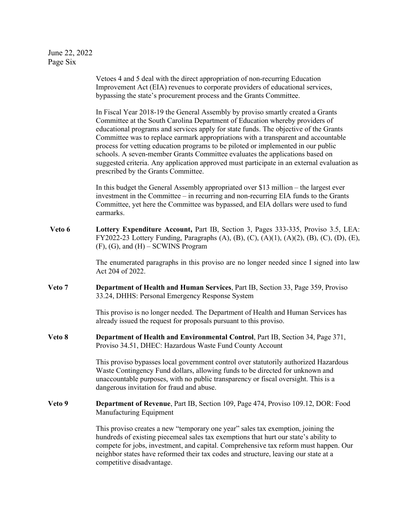June 22, 2022 Page Six

Vetoes 4 and 5 deal with the direct appropriation of non-recurring Education Improvement Act (EIA) revenues to corporate providers of educational services, bypassing the state's procurement process and the Grants Committee. In Fiscal Year 2018-19 the General Assembly by proviso smartly created a Grants Committee at the South Carolina Department of Education whereby providers of educational programs and services apply for state funds. The objective of the Grants Committee was to replace earmark appropriations with a transparent and accountable process for vetting education programs to be piloted or implemented in our public schools. A seven-member Grants Committee evaluates the applications based on suggested criteria. Any application approved must participate in an external evaluation as prescribed by the Grants Committee. In this budget the General Assembly appropriated over \$13 million – the largest ever investment in the Committee – in recurring and non-recurring EIA funds to the Grants Committee, yet here the Committee was bypassed, and EIA dollars were used to fund earmarks. **Veto 6 Lottery Expenditure Account,** Part IB, Section 3, Pages 333-335, Proviso 3.5, LEA: FY2022-23 Lottery Funding, Paragraphs (A), (B), (C), (A)(1), (A)(2), (B), (C), (D), (E),  $(F)$ ,  $(G)$ , and  $(H)$  – SCWINS Program The enumerated paragraphs in this proviso are no longer needed since I signed into law Act 204 of 2022. **Veto 7 Department of Health and Human Services**, Part IB, Section 33, Page 359, Proviso 33.24, DHHS: Personal Emergency Response System This proviso is no longer needed. The Department of Health and Human Services has already issued the request for proposals pursuant to this proviso. **Veto 8 Department of Health and Environmental Control**, Part IB, Section 34, Page 371, Proviso 34.51, DHEC: Hazardous Waste Fund County Account This proviso bypasses local government control over statutorily authorized Hazardous Waste Contingency Fund dollars, allowing funds to be directed for unknown and unaccountable purposes, with no public transparency or fiscal oversight. This is a dangerous invitation for fraud and abuse. **Veto 9 Department of Revenue**, Part IB, Section 109, Page 474, Proviso 109.12, DOR: Food Manufacturing Equipment This proviso creates a new "temporary one year" sales tax exemption, joining the hundreds of existing piecemeal sales tax exemptions that hurt our state's ability to compete for jobs, investment, and capital. Comprehensive tax reform must happen. Our neighbor states have reformed their tax codes and structure, leaving our state at a competitive disadvantage.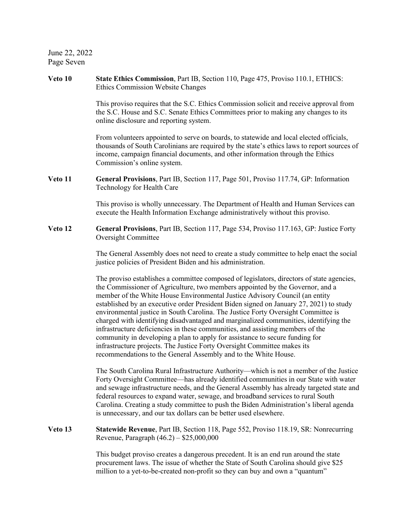June 22, 2022 Page Seven

**Veto 10 State Ethics Commission**, Part IB, Section 110, Page 475, Proviso 110.1, ETHICS: Ethics Commission Website Changes This proviso requires that the S.C. Ethics Commission solicit and receive approval from the S.C. House and S.C. Senate Ethics Committees prior to making any changes to its online disclosure and reporting system. From volunteers appointed to serve on boards, to statewide and local elected officials, thousands of South Carolinians are required by the state's ethics laws to report sources of income, campaign financial documents, and other information through the Ethics Commission's online system. **Veto 11 General Provisions**, Part IB, Section 117, Page 501, Proviso 117.74, GP: Information Technology for Health Care This proviso is wholly unnecessary. The Department of Health and Human Services can execute the Health Information Exchange administratively without this proviso. **Veto 12 General Provisions**, Part IB, Section 117, Page 534, Proviso 117.163, GP: Justice Forty Oversight Committee The General Assembly does not need to create a study committee to help enact the social justice policies of President Biden and his administration. The proviso establishes a committee composed of legislators, directors of state agencies, the Commissioner of Agriculture, two members appointed by the Governor, and a member of the White House Environmental Justice Advisory Council (an entity established by an executive order President Biden signed on January 27, 2021) to study environmental justice in South Carolina. The Justice Forty Oversight Committee is charged with identifying disadvantaged and marginalized communities, identifying the infrastructure deficiencies in these communities, and assisting members of the community in developing a plan to apply for assistance to secure funding for infrastructure projects. The Justice Forty Oversight Committee makes its recommendations to the General Assembly and to the White House. The South Carolina Rural Infrastructure Authority—which is not a member of the Justice Forty Oversight Committee—has already identified communities in our State with water and sewage infrastructure needs, and the General Assembly has already targeted state and federal resources to expand water, sewage, and broadband services to rural South Carolina. Creating a study committee to push the Biden Administration's liberal agenda is unnecessary, and our tax dollars can be better used elsewhere. **Veto 13 Statewide Revenue**, Part IB, Section 118, Page 552, Proviso 118.19, SR: Nonrecurring Revenue, Paragraph (46.2) – \$25,000,000 This budget proviso creates a dangerous precedent. It is an end run around the state procurement laws. The issue of whether the State of South Carolina should give \$25 million to a yet-to-be-created non-profit so they can buy and own a "quantum"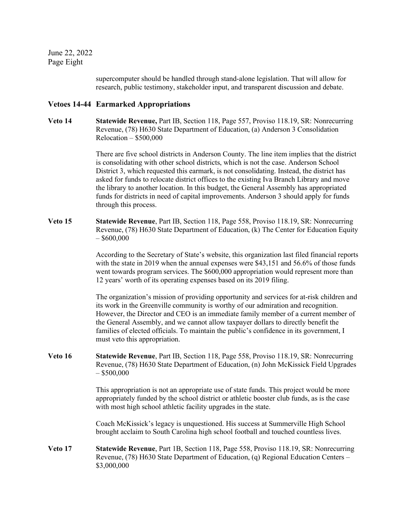June 22, 2022 Page Eight

> supercomputer should be handled through stand-alone legislation. That will allow for research, public testimony, stakeholder input, and transparent discussion and debate.

## **Vetoes 14-44 Earmarked Appropriations**

**Veto 14 Statewide Revenue,** Part IB, Section 118, Page 557, Proviso 118.19, SR: Nonrecurring Revenue, (78) H630 State Department of Education, (a) Anderson 3 Consolidation Relocation – \$500,000

> There are five school districts in Anderson County. The line item implies that the district is consolidating with other school districts, which is not the case. Anderson School District 3, which requested this earmark, is not consolidating. Instead, the district has asked for funds to relocate district offices to the existing Iva Branch Library and move the library to another location. In this budget, the General Assembly has appropriated funds for districts in need of capital improvements. Anderson 3 should apply for funds through this process.

**Veto 15 Statewide Revenue**, Part IB, Section 118, Page 558, Proviso 118.19, SR: Nonrecurring Revenue, (78) H630 State Department of Education, (k) The Center for Education Equity  $-$  \$600,000

> According to the Secretary of State's website, this organization last filed financial reports with the state in 2019 when the annual expenses were \$43,151 and 56.6% of those funds went towards program services. The \$600,000 appropriation would represent more than 12 years' worth of its operating expenses based on its 2019 filing.

> The organization's mission of providing opportunity and services for at-risk children and its work in the Greenville community is worthy of our admiration and recognition. However, the Director and CEO is an immediate family member of a current member of the General Assembly, and we cannot allow taxpayer dollars to directly benefit the families of elected officials. To maintain the public's confidence in its government, I must veto this appropriation.

**Veto 16 Statewide Revenue**, Part IB, Section 118, Page 558, Proviso 118.19, SR: Nonrecurring Revenue, (78) H630 State Department of Education, (n) John McKissick Field Upgrades  $-$  \$500,000

> This appropriation is not an appropriate use of state funds. This project would be more appropriately funded by the school district or athletic booster club funds, as is the case with most high school athletic facility upgrades in the state.

Coach McKissick's legacy is unquestioned. His success at Summerville High School brought acclaim to South Carolina high school football and touched countless lives.

**Veto 17 Statewide Revenue**, Part 1B, Section 118, Page 558, Proviso 118.19, SR: Nonrecurring Revenue, (78) H630 State Department of Education, (q) Regional Education Centers – \$3,000,000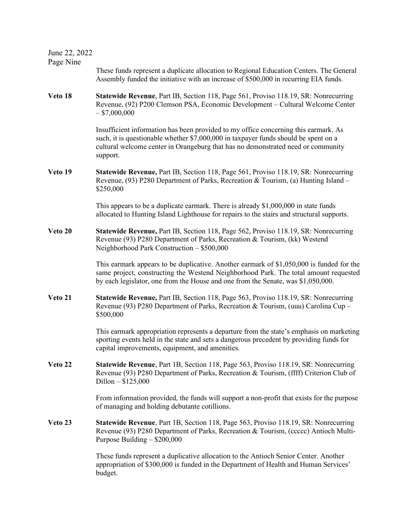June 22, 2022

Page Nine

These funds represent a duplicate allocation to Regional Education Centers. The General Assembly funded the initiative with an increase of \$500,000 in recurring EIA funds.

**Veto 18 Statewide Revenue**, Part IB, Section 118, Page 561, Proviso 118.19, SR: Nonrecurring Revenue, (92) P200 Clemson PSA, Economic Development – Cultural Welcome Center  $-$ \$7,000,000

> Insufficient information has been provided to my office concerning this earmark. As such, it is questionable whether \$7,000,000 in taxpayer funds should be spent on a cultural welcome center in Orangeburg that has no demonstrated need or community support.

**Veto 19 Statewide Revenue,** Part IB, Section 118, Page 561, Proviso 118.19, SR: Nonrecurring Revenue, (93) P280 Department of Parks, Recreation & Tourism, (a) Hunting Island – \$250,000

> This appears to be a duplicate earmark. There is already \$1,000,000 in state funds allocated to Hunting Island Lighthouse for repairs to the stairs and structural supports.

**Veto 20 Statewide Revenue,** Part IB, Section 118, Page 562, Proviso 118.19, SR: Nonrecurring Revenue (93) P280 Department of Parks, Recreation & Tourism, (kk) Westend Neighborhood Park Construction – \$500,000

> This earmark appears to be duplicative. Another earmark of \$1,050,000 is funded for the same project, constructing the Westend Neighborhood Park. The total amount requested by each legislator, one from the House and one from the Senate, was \$1,050,000.

**Veto 21 Statewide Revenue,** Part IB, Section 118, Page 563, Proviso 118.19, SR: Nonrecurring Revenue (93) P280 Department of Parks, Recreation & Tourism, (uuu) Carolina Cup – \$500,000

> This earmark appropriation represents a departure from the state's emphasis on marketing sporting events held in the state and sets a dangerous precedent by providing funds for capital improvements, equipment, and amenities.

**Veto 22 Statewide Revenue**, Part 1B, Section 118, Page 563, Proviso 118.19, SR: Nonrecurring Revenue (93) P280 Department of Parks, Recreation & Tourism, (ffff) Criterion Club of Dillon – \$125,000

> From information provided, the funds will support a non-profit that exists for the purpose of managing and holding debutante cotillions.

**Veto 23 Statewide Revenue**, Part 1B, Section 118, Page 563, Proviso 118.19, SR: Nonrecurring Revenue (93) P280 Department of Parks, Recreation & Tourism, (ccccc) Antioch Multi-Purpose Building – \$200,000

> These funds represent a duplicative allocation to the Antioch Senior Center. Another appropriation of \$300,000 is funded in the Department of Health and Human Services' budget.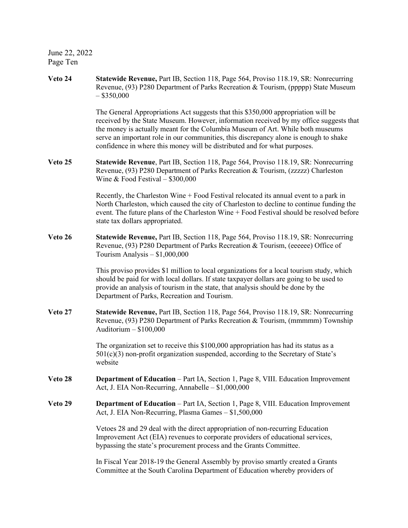June 22, 2022 Page Ten

**Veto 24 Statewide Revenue,** Part IB, Section 118, Page 564, Proviso 118.19, SR: Nonrecurring Revenue, (93) P280 Department of Parks Recreation & Tourism, (ppppp) State Museum  $-$ \$350,000

> The General Appropriations Act suggests that this \$350,000 appropriation will be received by the State Museum. However, information received by my office suggests that the money is actually meant for the Columbia Museum of Art. While both museums serve an important role in our communities, this discrepancy alone is enough to shake confidence in where this money will be distributed and for what purposes.

**Veto 25 Statewide Revenue**, Part IB, Section 118, Page 564, Proviso 118.19, SR: Nonrecurring Revenue, (93) P280 Department of Parks Recreation & Tourism, (zzzzz) Charleston Wine & Food Festival – \$300,000

> Recently, the Charleston Wine + Food Festival relocated its annual event to a park in North Charleston, which caused the city of Charleston to decline to continue funding the event. The future plans of the Charleston Wine + Food Festival should be resolved before state tax dollars appropriated.

**Veto 26 Statewide Revenue,** Part IB, Section 118, Page 564, Proviso 118.19, SR: Nonrecurring Revenue, (93) P280 Department of Parks Recreation & Tourism, (eeeeee) Office of Tourism Analysis – \$1,000,000

> This proviso provides \$1 million to local organizations for a local tourism study, which should be paid for with local dollars. If state taxpayer dollars are going to be used to provide an analysis of tourism in the state, that analysis should be done by the Department of Parks, Recreation and Tourism.

**Veto 27 Statewide Revenue,** Part IB, Section 118, Page 564, Proviso 118.19, SR: Nonrecurring Revenue, (93) P280 Department of Parks Recreation & Tourism, (mmmmm) Township Auditorium – \$100,000

> The organization set to receive this \$100,000 appropriation has had its status as a 501(c)(3) non-profit organization suspended, according to the Secretary of State's website

- **Veto 28 Department of Education** Part IA, Section 1, Page 8, VIII. Education Improvement Act, J. EIA Non-Recurring, Annabelle – \$1,000,000
- **Veto 29 Department of Education** Part IA, Section 1, Page 8, VIII. Education Improvement Act, J. EIA Non-Recurring, Plasma Games – \$1,500,000

Vetoes 28 and 29 deal with the direct appropriation of non-recurring Education Improvement Act (EIA) revenues to corporate providers of educational services, bypassing the state's procurement process and the Grants Committee.

In Fiscal Year 2018-19 the General Assembly by proviso smartly created a Grants Committee at the South Carolina Department of Education whereby providers of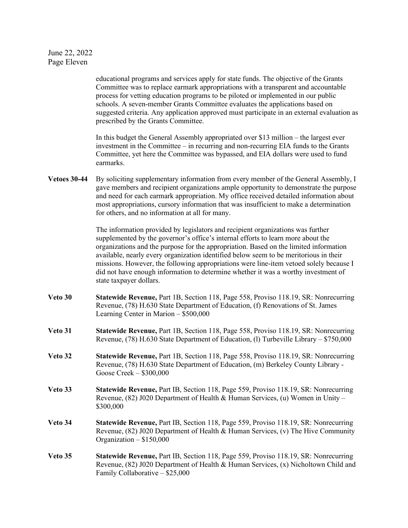## June 22, 2022 Page Eleven

educational programs and services apply for state funds. The objective of the Grants Committee was to replace earmark appropriations with a transparent and accountable process for vetting education programs to be piloted or implemented in our public schools. A seven-member Grants Committee evaluates the applications based on suggested criteria. Any application approved must participate in an external evaluation as prescribed by the Grants Committee.

In this budget the General Assembly appropriated over \$13 million – the largest ever investment in the Committee – in recurring and non-recurring EIA funds to the Grants Committee, yet here the Committee was bypassed, and EIA dollars were used to fund earmarks.

**Vetoes 30-44** By soliciting supplementary information from every member of the General Assembly, I gave members and recipient organizations ample opportunity to demonstrate the purpose and need for each earmark appropriation. My office received detailed information about most appropriations, cursory information that was insufficient to make a determination for others, and no information at all for many.

> The information provided by legislators and recipient organizations was further supplemented by the governor's office's internal efforts to learn more about the organizations and the purpose for the appropriation. Based on the limited information available, nearly every organization identified below seem to be meritorious in their missions. However, the following appropriations were line-item vetoed solely because I did not have enough information to determine whether it was a worthy investment of state taxpayer dollars.

- **Veto 30 Statewide Revenue,** Part 1B, Section 118, Page 558, Proviso 118.19, SR: Nonrecurring Revenue, (78) H.630 State Department of Education, (f) Renovations of St. James Learning Center in Marion – \$500,000
- **Veto 31 Statewide Revenue,** Part 1B, Section 118, Page 558, Proviso 118.19, SR: Nonrecurring Revenue, (78) H.630 State Department of Education, (l) Turbeville Library – \$750,000
- **Veto 32 Statewide Revenue,** Part 1B, Section 118, Page 558, Proviso 118.19, SR: Nonrecurring Revenue, (78) H.630 State Department of Education, (m) Berkeley County Library - Goose Creek – \$300,000
- **Veto 33 Statewide Revenue,** Part IB, Section 118, Page 559, Proviso 118.19, SR: Nonrecurring Revenue, (82) J020 Department of Health & Human Services, (u) Women in Unity – \$300,000
- **Veto 34 Statewide Revenue,** Part IB, Section 118, Page 559, Proviso 118.19, SR: Nonrecurring Revenue, (82) J020 Department of Health & Human Services, (v) The Hive Community Organization – \$150,000
- **Veto 35 Statewide Revenue,** Part IB, Section 118, Page 559, Proviso 118.19, SR: Nonrecurring Revenue, (82) J020 Department of Health & Human Services, (x) Nicholtown Child and Family Collaborative – \$25,000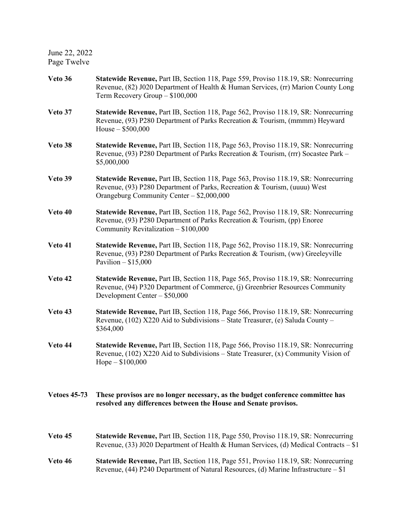June 22, 2022 Page Twelve

**Veto 36 Statewide Revenue,** Part IB, Section 118, Page 559, Proviso 118.19, SR: Nonrecurring Revenue, (82) J020 Department of Health & Human Services, (rr) Marion County Long Term Recovery Group – \$100,000 **Veto 37 Statewide Revenue,** Part IB, Section 118, Page 562, Proviso 118.19, SR: Nonrecurring Revenue, (93) P280 Department of Parks Recreation & Tourism, (mmmm) Heyward House – \$500,000 **Veto 38 Statewide Revenue,** Part IB, Section 118, Page 563, Proviso 118.19, SR: Nonrecurring Revenue, (93) P280 Department of Parks Recreation & Tourism, (rrr) Socastee Park – \$5,000,000 **Veto 39 Statewide Revenue,** Part IB, Section 118, Page 563, Proviso 118.19, SR: Nonrecurring Revenue, (93) P280 Department of Parks, Recreation & Tourism, (uuuu) West Orangeburg Community Center – \$2,000,000 **Veto 40 Statewide Revenue,** Part IB, Section 118, Page 562, Proviso 118.19, SR: Nonrecurring Revenue, (93) P280 Department of Parks Recreation & Tourism, (pp) Enoree Community Revitalization – \$100,000 **Veto 41 Statewide Revenue,** Part IB, Section 118, Page 562, Proviso 118.19, SR: Nonrecurring Revenue, (93) P280 Department of Parks Recreation & Tourism, (ww) Greeleyville Pavilion –  $$15,000$ **Veto 42 Statewide Revenue,** Part IB, Section 118, Page 565, Proviso 118.19, SR: Nonrecurring Revenue, (94) P320 Department of Commerce, (j) Greenbrier Resources Community Development Center – \$50,000 **Veto 43 Statewide Revenue,** Part IB, Section 118, Page 566, Proviso 118.19, SR: Nonrecurring Revenue, (102) X220 Aid to Subdivisions – State Treasurer, (e) Saluda County – \$364,000 **Veto 44 Statewide Revenue,** Part IB, Section 118, Page 566, Proviso 118.19, SR: Nonrecurring Revenue, (102) X220 Aid to Subdivisions – State Treasurer,  $(x)$  Community Vision of Hope – \$100,000 **Vetoes 45-73 These provisos are no longer necessary, as the budget conference committee has resolved any differences between the House and Senate provisos. Veto 45 Statewide Revenue,** Part IB, Section 118, Page 550, Proviso 118.19, SR: Nonrecurring Revenue, (33) J020 Department of Health & Human Services, (d) Medical Contracts – \$1 **Veto 46 Statewide Revenue,** Part IB, Section 118, Page 551, Proviso 118.19, SR: Nonrecurring Revenue, (44) P240 Department of Natural Resources, (d) Marine Infrastructure – \$1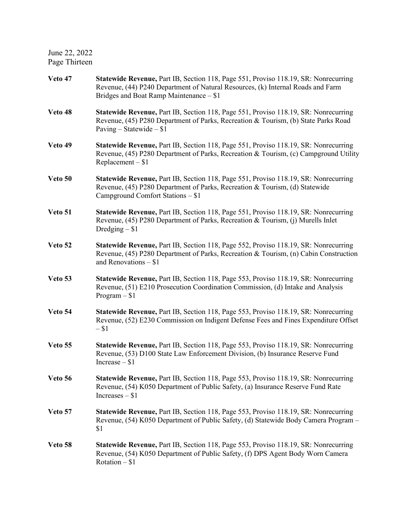June 22, 2022 Page Thirteen

| Veto 47 | Statewide Revenue, Part IB, Section 118, Page 551, Proviso 118.19, SR: Nonrecurring<br>Revenue, (44) P240 Department of Natural Resources, (k) Internal Roads and Farm<br>Bridges and Boat Ramp Maintenance - \$1 |
|---------|-------------------------------------------------------------------------------------------------------------------------------------------------------------------------------------------------------------------|
| Veto 48 | Statewide Revenue, Part IB, Section 118, Page 551, Proviso 118.19, SR: Nonrecurring<br>Revenue, (45) P280 Department of Parks, Recreation & Tourism, (b) State Parks Road<br>Paving – Statewide – $$1$            |
| Veto 49 | Statewide Revenue, Part IB, Section 118, Page 551, Proviso 118.19, SR: Nonrecurring<br>Revenue, (45) P280 Department of Parks, Recreation & Tourism, (c) Campground Utility<br>$Replacement - $1$                 |
| Veto 50 | Statewide Revenue, Part IB, Section 118, Page 551, Proviso 118.19, SR: Nonrecurring<br>Revenue, (45) P280 Department of Parks, Recreation & Tourism, (d) Statewide<br>Campground Comfort Stations - \$1           |
| Veto 51 | Statewide Revenue, Part IB, Section 118, Page 551, Proviso 118.19, SR: Nonrecurring<br>Revenue, (45) P280 Department of Parks, Recreation & Tourism, (j) Murells Inlet<br>Dredging $-$ \$1                        |
| Veto 52 | <b>Statewide Revenue, Part IB, Section 118, Page 552, Proviso 118.19, SR: Nonrecurring</b><br>Revenue, (45) P280 Department of Parks, Recreation & Tourism, (n) Cabin Construction<br>and Renovations $- $1$      |
| Veto 53 | <b>Statewide Revenue, Part IB, Section 118, Page 553, Proviso 118.19, SR: Nonrecurring</b><br>Revenue, (51) E210 Prosecution Coordination Commission, (d) Intake and Analysis<br>$Program - $1$                   |
| Veto 54 | <b>Statewide Revenue, Part IB, Section 118, Page 553, Proviso 118.19, SR: Nonrecurring</b><br>Revenue, (52) E230 Commission on Indigent Defense Fees and Fines Expenditure Offset<br>$- $1$                       |
| Veto 55 | Statewide Revenue, Part IB, Section 118, Page 553, Proviso 118.19, SR: Nonrecurring<br>Revenue, (53) D100 State Law Enforcement Division, (b) Insurance Reserve Fund<br>Increase $- $1$                           |
| Veto 56 | Statewide Revenue, Part IB, Section 118, Page 553, Proviso 118.19, SR: Nonrecurring<br>Revenue, (54) K050 Department of Public Safety, (a) Insurance Reserve Fund Rate<br>$Increases - $1$                        |
| Veto 57 | Statewide Revenue, Part IB, Section 118, Page 553, Proviso 118.19, SR: Nonrecurring<br>Revenue, (54) K050 Department of Public Safety, (d) Statewide Body Camera Program –<br>\$1                                 |
| Veto 58 | Statewide Revenue, Part IB, Section 118, Page 553, Proviso 118.19, SR: Nonrecurring<br>Revenue, (54) K050 Department of Public Safety, (f) DPS Agent Body Worn Camera<br>Rotation $-$ \$1                         |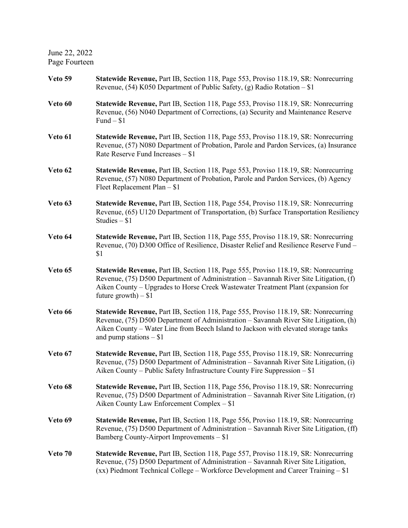June 22, 2022 Page Fourteen

| Veto 59 | Statewide Revenue, Part IB, Section 118, Page 553, Proviso 118.19, SR: Nonrecurring<br>Revenue, $(54)$ K050 Department of Public Safety, $(g)$ Radio Rotation – \$1                                                                                                                            |
|---------|------------------------------------------------------------------------------------------------------------------------------------------------------------------------------------------------------------------------------------------------------------------------------------------------|
| Veto 60 | Statewide Revenue, Part IB, Section 118, Page 553, Proviso 118.19, SR: Nonrecurring<br>Revenue, (56) N040 Department of Corrections, (a) Security and Maintenance Reserve<br>Fund $-$ \$1                                                                                                      |
| Veto 61 | Statewide Revenue, Part IB, Section 118, Page 553, Proviso 118.19, SR: Nonrecurring<br>Revenue, (57) N080 Department of Probation, Parole and Pardon Services, (a) Insurance<br>Rate Reserve Fund Increases - \$1                                                                              |
| Veto 62 | <b>Statewide Revenue, Part IB, Section 118, Page 553, Proviso 118.19, SR: Nonrecurring</b><br>Revenue, (57) N080 Department of Probation, Parole and Pardon Services, (b) Agency<br>Fleet Replacement Plan $-$ \$1                                                                             |
| Veto 63 | Statewide Revenue, Part IB, Section 118, Page 554, Proviso 118.19, SR: Nonrecurring<br>Revenue, (65) U120 Department of Transportation, (b) Surface Transportation Resiliency<br>Studies $-$ \$1                                                                                               |
| Veto 64 | <b>Statewide Revenue, Part IB, Section 118, Page 555, Proviso 118.19, SR: Nonrecurring</b><br>Revenue, (70) D300 Office of Resilience, Disaster Relief and Resilience Reserve Fund -<br>\$1                                                                                                    |
| Veto 65 | Statewide Revenue, Part IB, Section 118, Page 555, Proviso 118.19, SR: Nonrecurring<br>Revenue, (75) D500 Department of Administration - Savannah River Site Litigation, (f)<br>Aiken County – Upgrades to Horse Creek Wastewater Treatment Plant (expansion for<br>future growth) $- $1$      |
| Veto 66 | Statewide Revenue, Part IB, Section 118, Page 555, Proviso 118.19, SR: Nonrecurring<br>Revenue, (75) D500 Department of Administration - Savannah River Site Litigation, (h)<br>Aiken County – Water Line from Beech Island to Jackson with elevated storage tanks<br>and pump stations $- $1$ |
| Veto 67 | <b>Statewide Revenue, Part IB, Section 118, Page 555, Proviso 118.19, SR: Nonrecurring</b><br>Revenue, (75) D500 Department of Administration - Savannah River Site Litigation, (i)<br>Aiken County - Public Safety Infrastructure County Fire Suppression - \$1                               |
| Veto 68 | Statewide Revenue, Part IB, Section 118, Page 556, Proviso 118.19, SR: Nonrecurring<br>Revenue, (75) D500 Department of Administration - Savannah River Site Litigation, (r)<br>Aiken County Law Enforcement Complex – \$1                                                                     |
| Veto 69 | Statewide Revenue, Part IB, Section 118, Page 556, Proviso 118.19, SR: Nonrecurring<br>Revenue, (75) D500 Department of Administration – Savannah River Site Litigation, (ff)<br>Bamberg County-Airport Improvements - \$1                                                                     |
| Veto 70 | Statewide Revenue, Part IB, Section 118, Page 557, Proviso 118.19, SR: Nonrecurring<br>Revenue, (75) D500 Department of Administration - Savannah River Site Litigation,<br>(xx) Piedmont Technical College – Workforce Development and Career Training – \$1                                  |